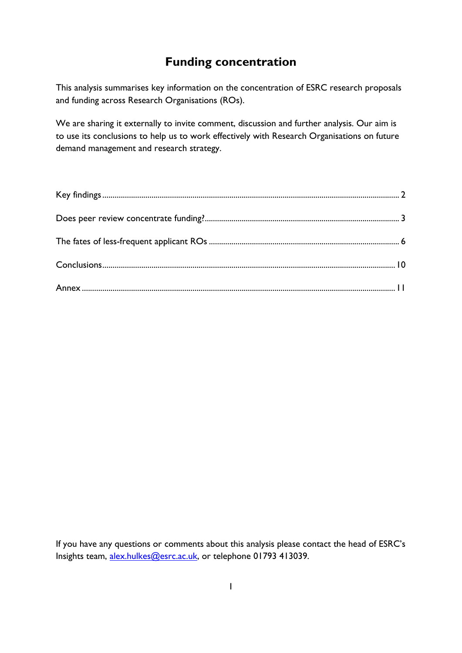## **Funding concentration**

This analysis summarises key information on the concentration of ESRC research proposals and funding across Research Organisations (ROs).

We are sharing it externally to invite comment, discussion and further analysis. Our aim is to use its conclusions to help us to work effectively with Research Organisations on future demand management and research strategy.

If you have any questions or comments about this analysis please contact the head of ESRC's Insights team, [alex.hulkes@esrc.ac.uk,](mailto:alex.hulkes@esrc.ac.uk) or telephone 01793 413039.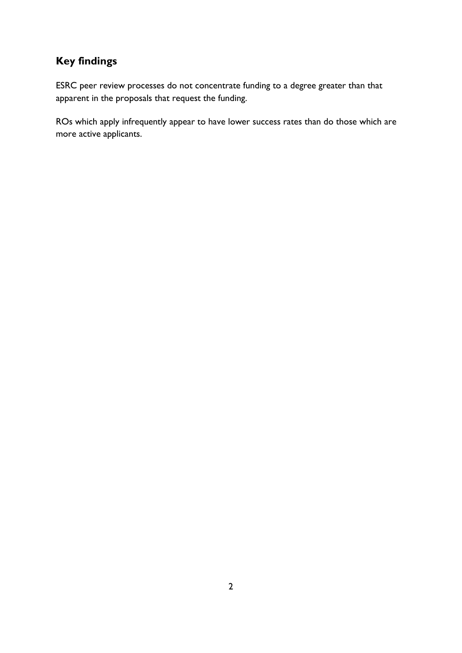# <span id="page-1-0"></span>**Key findings**

ESRC peer review processes do not concentrate funding to a degree greater than that apparent in the proposals that request the funding.

ROs which apply infrequently appear to have lower success rates than do those which are more active applicants.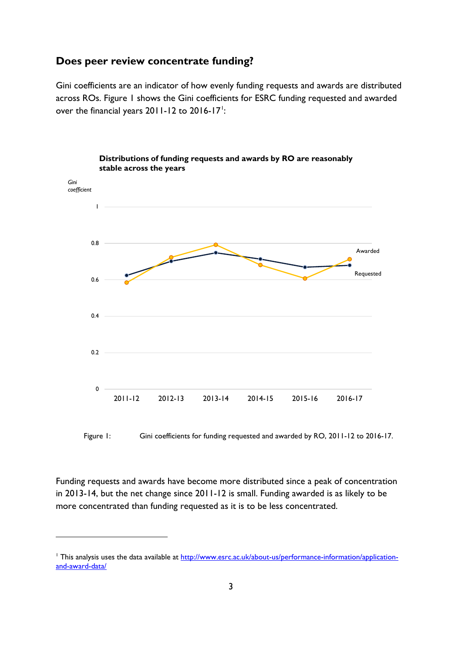## <span id="page-2-0"></span>**Does peer review concentrate funding?**

Gini coefficients are an indicator of how evenly funding requests and awards are distributed across ROs. Figure 1 shows the Gini coefficients for ESRC funding requested and awarded over the financial years  $2011 - 12$  $2011 - 12$  $2011 - 12$  to  $2016 - 17$ <sup>1</sup>:



Figure 1: Gini coefficients for funding requested and awarded by RO, 2011-12 to 2016-17.

Funding requests and awards have become more distributed since a peak of concentration in 2013-14, but the net change since 2011-12 is small. Funding awarded is as likely to be more concentrated than funding requested as it is to be less concentrated.

<span id="page-2-1"></span><sup>&</sup>lt;sup>1</sup> This analysis uses the data available at [http://www.esrc.ac.uk/about-us/performance-information/application](http://www.esrc.ac.uk/about-us/performance-information/application-and-award-data/)[and-award-data/](http://www.esrc.ac.uk/about-us/performance-information/application-and-award-data/)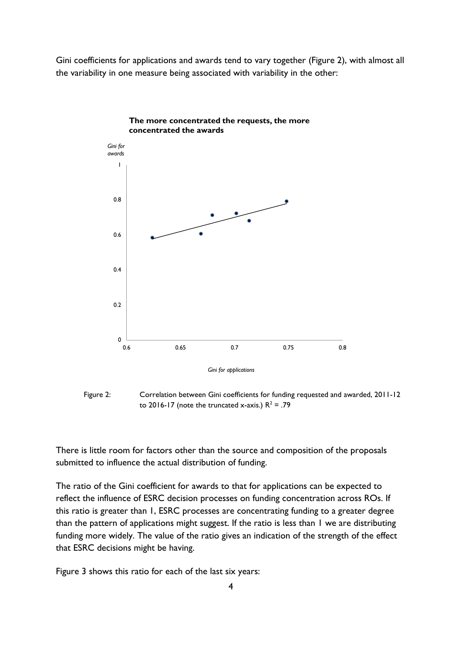Gini coefficients for applications and awards tend to vary together (Figure 2), with almost all the variability in one measure being associated with variability in the other:



#### **The more concentrated the requests, the more concentrated the awards**

Figure 2: Correlation between Gini coefficients for funding requested and awarded, 2011-12 to 2016-17 (note the truncated x-axis.)  $R^2$  = .79

There is little room for factors other than the source and composition of the proposals submitted to influence the actual distribution of funding.

The ratio of the Gini coefficient for awards to that for applications can be expected to reflect the influence of ESRC decision processes on funding concentration across ROs. If this ratio is greater than 1, ESRC processes are concentrating funding to a greater degree than the pattern of applications might suggest. If the ratio is less than 1 we are distributing funding more widely. The value of the ratio gives an indication of the strength of the effect that ESRC decisions might be having.

Figure 3 shows this ratio for each of the last six years: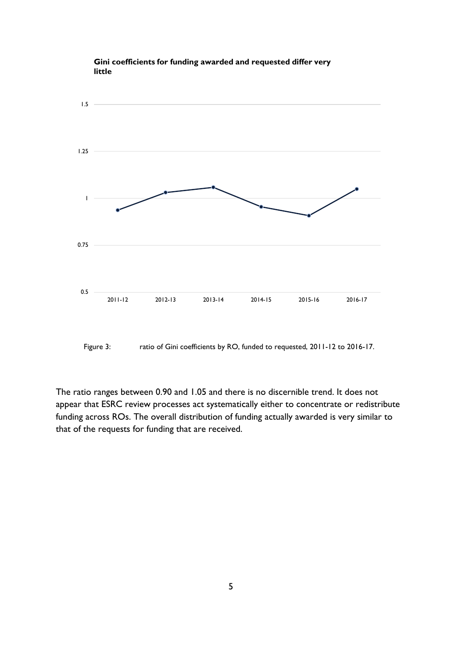

#### **Gini coefficients for funding awarded and requested differ very little**

Figure 3: ratio of Gini coefficients by RO, funded to requested, 2011-12 to 2016-17.

The ratio ranges between 0.90 and 1.05 and there is no discernible trend. It does not appear that ESRC review processes act systematically either to concentrate or redistribute funding across ROs. The overall distribution of funding actually awarded is very similar to that of the requests for funding that are received.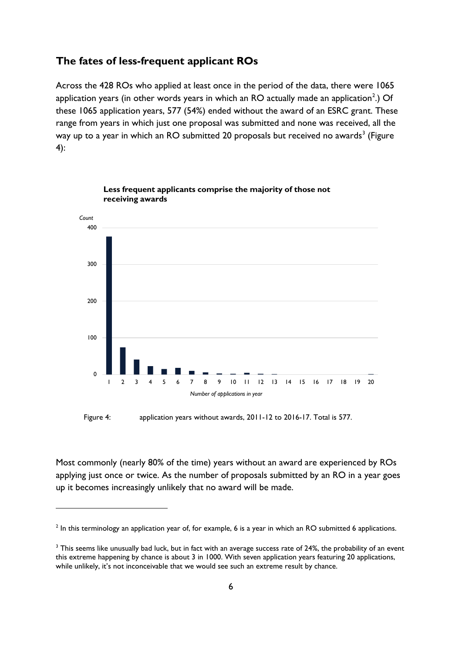### <span id="page-5-0"></span>**The fates of less-frequent applicant ROs**

Across the 428 ROs who applied at least once in the period of the data, there were 1065 application years (in other words years in which an RO actually made an application<sup>[2](#page-5-1)</sup>.) Of these 1065 application years, 577 (54%) ended without the award of an ESRC grant. These range from years in which just one proposal was submitted and none was received, all the way up to a year in which an RO submitted 20 proposals but received no awards<sup>[3](#page-5-2)</sup> (Figure 4):



**Less frequent applicants comprise the majority of those not receiving awards**

Figure 4: application years without awards, 2011-12 to 2016-17. Total is 577.

Most commonly (nearly 80% of the time) years without an award are experienced by ROs applying just once or twice. As the number of proposals submitted by an RO in a year goes up it becomes increasingly unlikely that no award will be made.

<span id="page-5-1"></span><sup>&</sup>lt;sup>2</sup> In this terminology an application year of, for example, 6 is a year in which an RO submitted 6 applications.

<span id="page-5-2"></span><sup>&</sup>lt;sup>3</sup> This seems like unusually bad luck, but in fact with an average success rate of 24%, the probability of an event this extreme happening by chance is about 3 in 1000. With seven application years featuring 20 applications, while unlikely, it's not inconceivable that we would see such an extreme result by chance.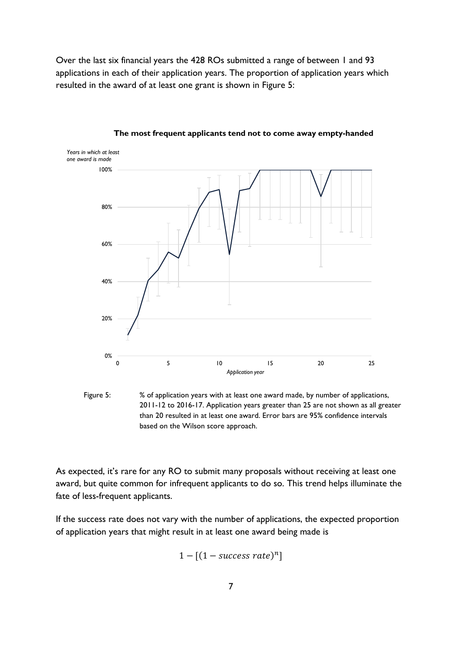Over the last six financial years the 428 ROs submitted a range of between 1 and 93 applications in each of their application years. The proportion of application years which resulted in the award of at least one grant is shown in Figure 5:



#### **The most frequent applicants tend not to come away empty-handed**

Figure 5: % of application years with at least one award made, by number of applications, 2011-12 to 2016-17. Application years greater than 25 are not shown as all greater than 20 resulted in at least one award. Error bars are 95% confidence intervals based on the Wilson score approach.

As expected, it's rare for any RO to submit many proposals without receiving at least one award, but quite common for infrequent applicants to do so. This trend helps illuminate the fate of less-frequent applicants.

If the success rate does not vary with the number of applications, the expected proportion of application years that might result in at least one award being made is

$$
1 - [(1 - success\ rate)^n]
$$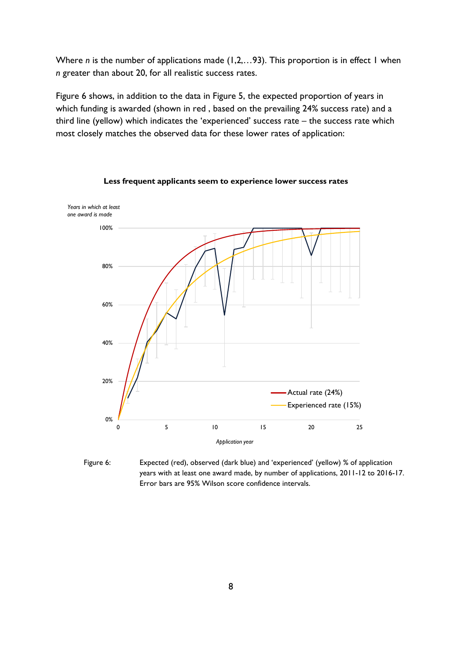Where *n* is the number of applications made (1,2,...93). This proportion is in effect 1 when *n* greater than about 20, for all realistic success rates.

Figure 6 shows, in addition to the data in Figure 5, the expected proportion of years in which funding is awarded (shown in red , based on the prevailing 24% success rate) and a third line (yellow) which indicates the 'experienced' success rate – the success rate which most closely matches the observed data for these lower rates of application:



**Less frequent applicants seem to experience lower success rates**

Figure 6: Expected (red), observed (dark blue) and 'experienced' (yellow) % of application years with at least one award made, by number of applications, 2011-12 to 2016-17. Error bars are 95% Wilson score confidence intervals.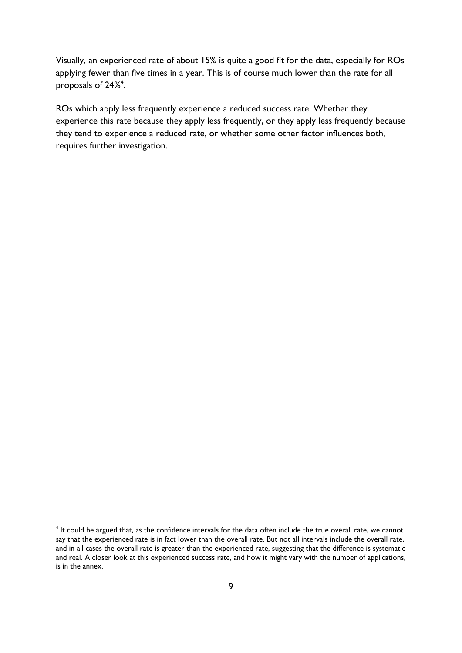Visually, an experienced rate of about 15% is quite a good fit for the data, especially for ROs applying fewer than five times in a year. This is of course much lower than the rate for all proposals of 2[4](#page-8-0)% $\mathrm{^4}.$ 

ROs which apply less frequently experience a reduced success rate. Whether they experience this rate because they apply less frequently, or they apply less frequently because they tend to experience a reduced rate, or whether some other factor influences both, requires further investigation.

<span id="page-8-0"></span><sup>&</sup>lt;sup>4</sup> It could be argued that, as the confidence intervals for the data often include the true overall rate, we cannot say that the experienced rate is in fact lower than the overall rate. But not all intervals include the overall rate, and in all cases the overall rate is greater than the experienced rate, suggesting that the difference is systematic and real. A closer look at this experienced success rate, and how it might vary with the number of applications, is in the annex.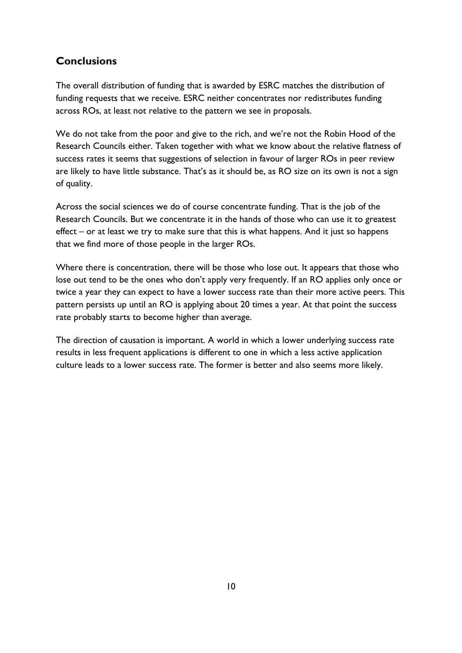## <span id="page-9-0"></span>**Conclusions**

The overall distribution of funding that is awarded by ESRC matches the distribution of funding requests that we receive. ESRC neither concentrates nor redistributes funding across ROs, at least not relative to the pattern we see in proposals.

We do not take from the poor and give to the rich, and we're not the Robin Hood of the Research Councils either. Taken together with what we know about the relative flatness of success rates it seems that suggestions of selection in favour of larger ROs in peer review are likely to have little substance. That's as it should be, as RO size on its own is not a sign of quality.

Across the social sciences we do of course concentrate funding. That is the job of the Research Councils. But we concentrate it in the hands of those who can use it to greatest effect – or at least we try to make sure that this is what happens. And it just so happens that we find more of those people in the larger ROs.

Where there is concentration, there will be those who lose out. It appears that those who lose out tend to be the ones who don't apply very frequently. If an RO applies only once or twice a year they can expect to have a lower success rate than their more active peers. This pattern persists up until an RO is applying about 20 times a year. At that point the success rate probably starts to become higher than average.

The direction of causation is important. A world in which a lower underlying success rate results in less frequent applications is different to one in which a less active application culture leads to a lower success rate. The former is better and also seems more likely.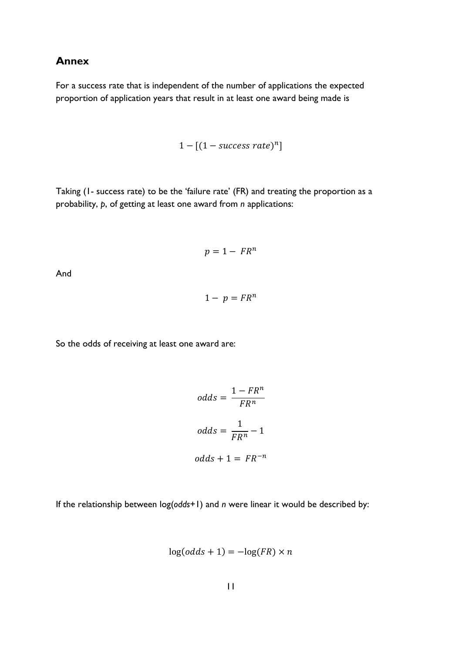### <span id="page-10-0"></span>**Annex**

For a success rate that is independent of the number of applications the expected proportion of application years that result in at least one award being made is

$$
1 - [(1 - success\ rate)^n]
$$

Taking (1- success rate) to be the 'failure rate' (FR) and treating the proportion as a probability, *p*, of getting at least one award from *n* applications:

$$
p=1-FR^n
$$

And

$$
1-p = FR^n
$$

So the odds of receiving at least one award are:

$$
odds = \frac{1 - FR^n}{FR^n}
$$

$$
odds = \frac{1}{FR^n} - 1
$$

$$
odds + 1 = FR^{-n}
$$

If the relationship between log(*odds*+1) and *n* were linear it would be described by:

$$
\log(odds + 1) = -\log(FR) \times n
$$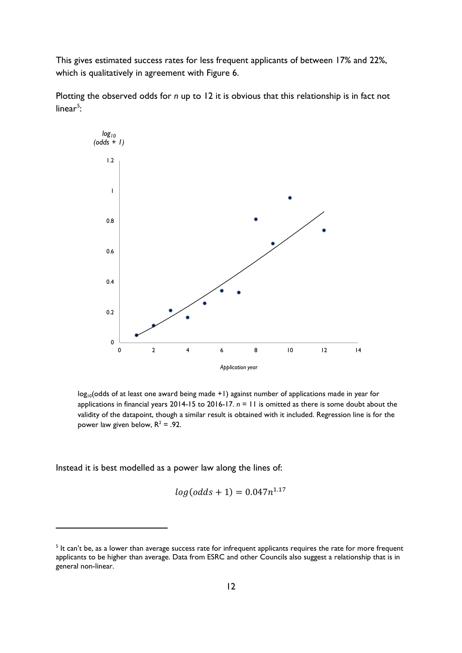This gives estimated success rates for less frequent applicants of between 17% and 22%, which is qualitatively in agreement with Figure 6.

Plotting the observed odds for *n* up to 12 it is obvious that this relationship is in fact not linear<sup>[5](#page-11-0)</sup>:



 $log_{10}$ (odds of at least one award being made +1) against number of applications made in year for applications in financial years 2014-15 to 2016-17. *n* = 11 is omitted as there is some doubt about the validity of the datapoint, though a similar result is obtained with it included. Regression line is for the power law given below,  $R^2 = .92$ .

Instead it is best modelled as a power law along the lines of:

$$
log(odds + 1) = 0.047n^{1.17}
$$

<span id="page-11-0"></span> $<sup>5</sup>$  It can't be, as a lower than average success rate for infrequent applicants requires the rate for more frequent</sup> applicants to be higher than average. Data from ESRC and other Councils also suggest a relationship that is in general non-linear.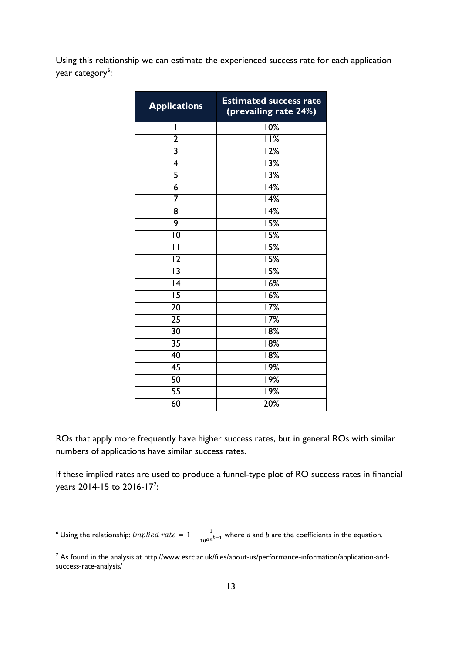Using this relationship we can estimate the experienced success rate for each application year category<sup>[6](#page-12-0)</sup>:

| <b>Applications</b>     | <b>Estimated success rate</b><br>(prevailing rate 24%) |
|-------------------------|--------------------------------------------------------|
| I                       | 10%                                                    |
| $\overline{2}$          | $\overline{1}$  %                                      |
| $\overline{\mathbf{3}}$ | 12%                                                    |
| $\overline{4}$          | 13%                                                    |
| 5                       | $\overline{1}3\%$                                      |
| 6                       | 14%                                                    |
| 7                       | 14%                                                    |
| 8                       | 14%                                                    |
| 9                       | 15%                                                    |
| $\overline{10}$         | $\overline{1}5%$                                       |
| $\overline{\mathsf{I}}$ | $\overline{15\%}$                                      |
| $\overline{12}$         | 15%                                                    |
| $\overline{13}$         | 15%                                                    |
| $\overline{14}$         | 16%                                                    |
| $\overline{15}$         | 16%                                                    |
| $\overline{20}$         | 17%                                                    |
| 25                      | 17%                                                    |
| $\overline{30}$         | 18%                                                    |
| $\overline{35}$         | 18%                                                    |
| 40                      | 18%                                                    |
| $\overline{45}$         | 19%                                                    |
| $\overline{50}$         | 19%                                                    |
| $\overline{55}$         | 19%                                                    |
| 60                      | 20%                                                    |

ROs that apply more frequently have higher success rates, but in general ROs with similar numbers of applications have similar success rates.

If these implied rates are used to produce a funnel-type plot of RO success rates in financial years 2014-15 to 2016-1[7](#page-12-1)<sup>7</sup>:

<span id="page-12-0"></span><sup>6</sup> Using the relationship:  $implied\ rate = 1 - \frac{1}{10^{an^{b-1}}}$  where *a* and *b* are the coefficients in the equation.

<u>.</u>

<span id="page-12-1"></span> As found in the analysis at http://www.esrc.ac.uk/files/about-us/performance-information/application-andsuccess-rate-analysis/